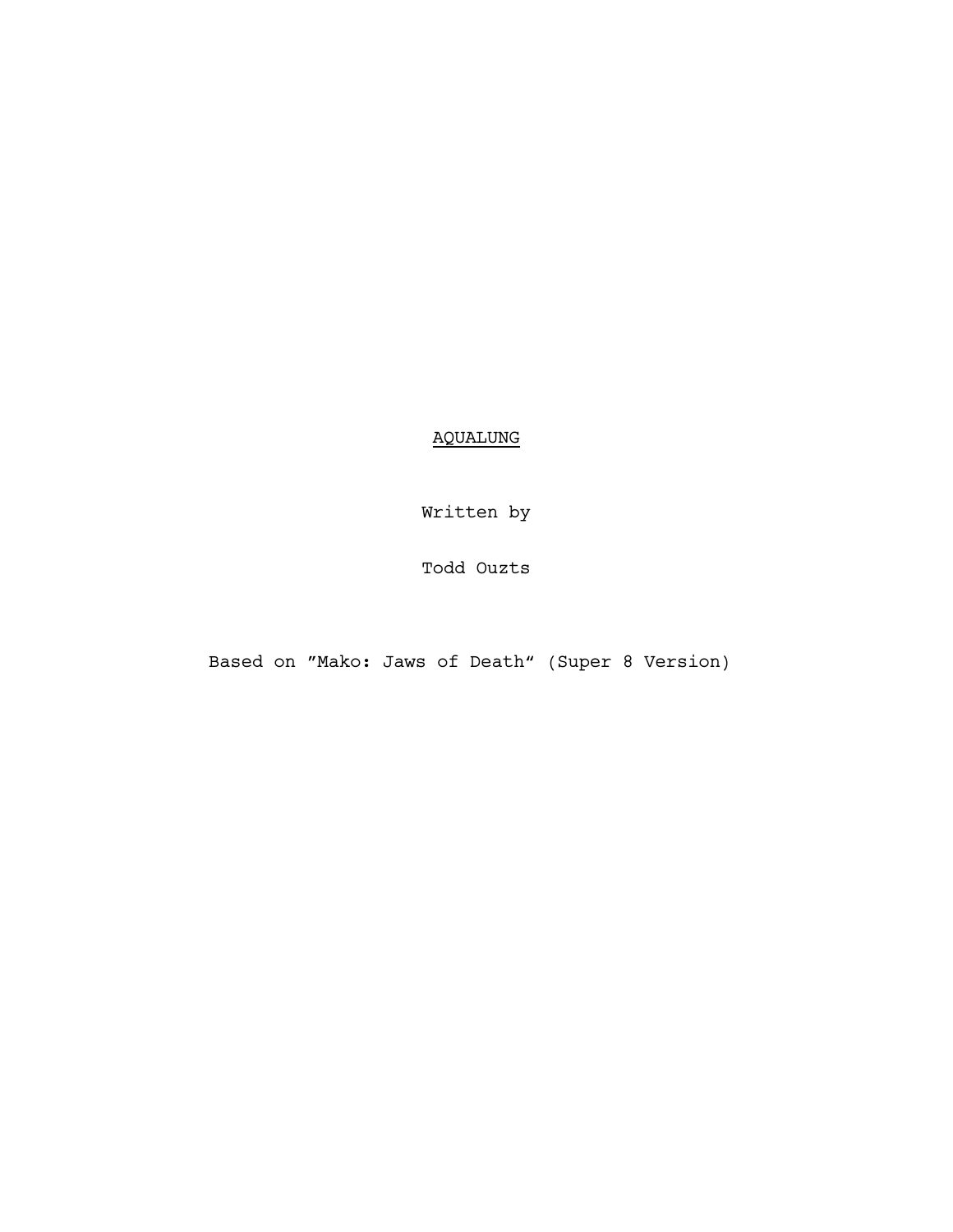AQUALUNG

Written by

Todd Ouzts

Based on "Mako: Jaws of Death" (Super 8 Version)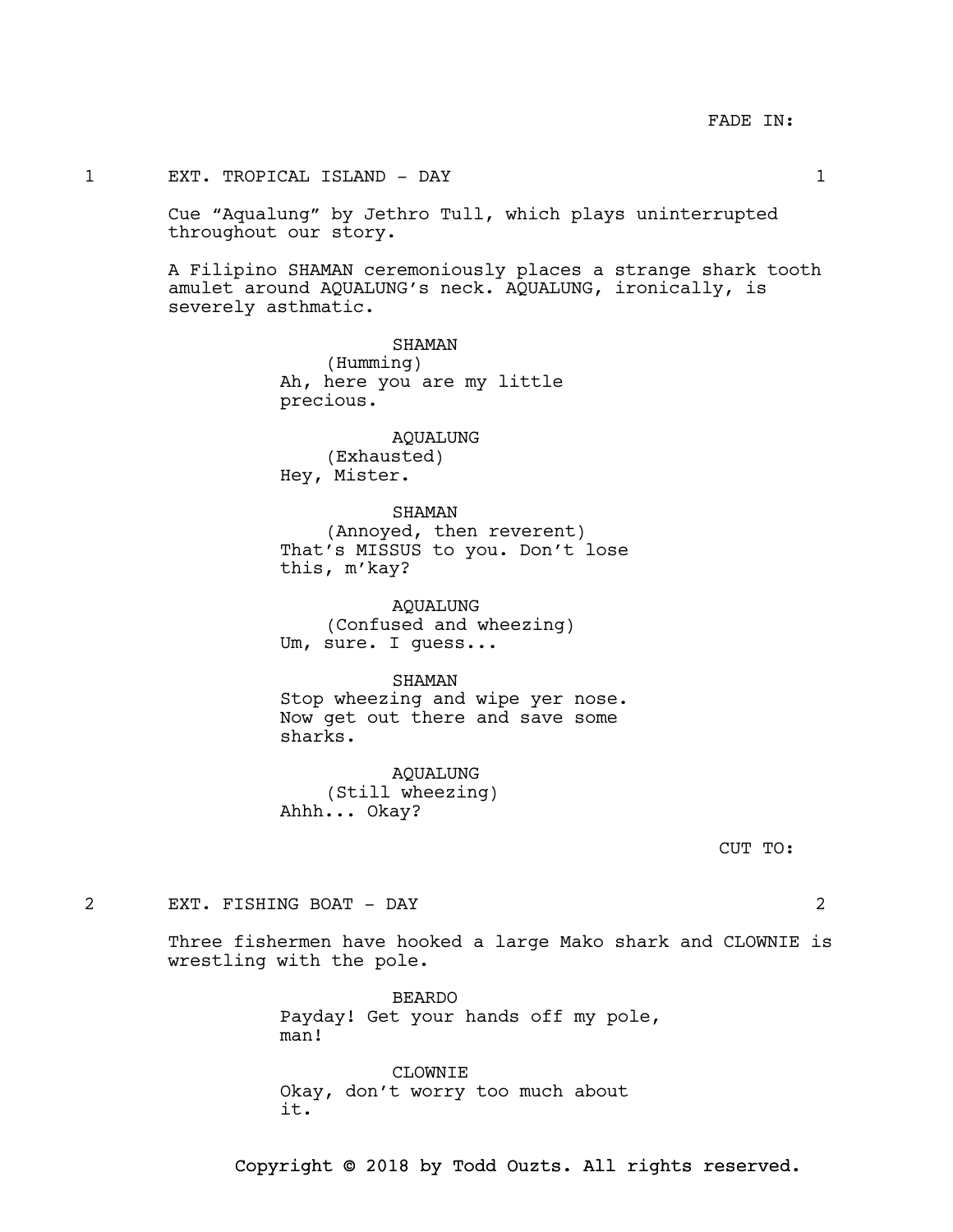### 1 EXT. TROPICAL ISLAND - DAY 1

Cue "Aqualung" by Jethro Tull, which plays uninterrupted throughout our story.

A Filipino SHAMAN ceremoniously places a strange shark tooth amulet around AQUALUNG's neck. AQUALUNG, ironically, is severely asthmatic.

> SHAMAN (Humming) Ah, here you are my little precious.

AQUALUNG (Exhausted) Hey, Mister.

### SHAMAN

(Annoyed, then reverent) That's MISSUS to you. Don't lose this, m'kay?

AQUALUNG (Confused and wheezing) Um, sure. I guess...

#### SHAMAN

Stop wheezing and wipe yer nose. Now get out there and save some sharks.

AQUALUNG (Still wheezing) Ahhh... Okay?

CUT TO:

#### 2 EXT. FISHING BOAT - DAY 2

Three fishermen have hooked a large Mako shark and CLOWNIE is wrestling with the pole.

> BEARDO Payday! Get your hands off my pole, man!

CLOWNTE. Okay, don't worry too much about it.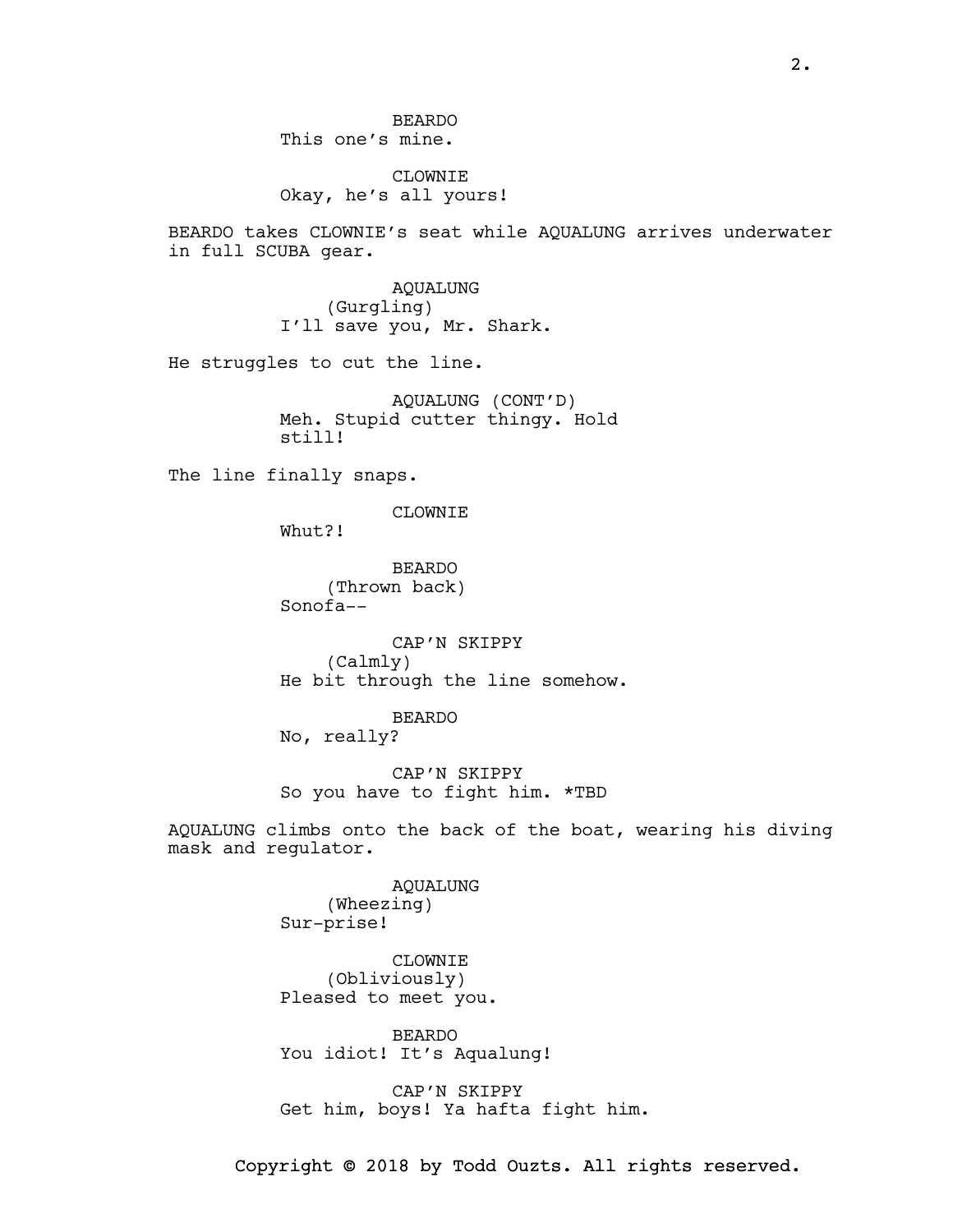# CLOWNIE Okay, he's all yours!

BEARDO takes CLOWNIE's seat while AQUALUNG arrives underwater in full SCUBA gear.

> AQUALUNG (Gurgling) I'll save you, Mr. Shark.

He struggles to cut the line.

AQUALUNG (CONT'D) Meh. Stupid cutter thingy. Hold still!

The line finally snaps.

CLOWNIE

Whut?!

BEARDO (Thrown back) Sonofa--

CAP'N SKIPPY (Calmly) He bit through the line somehow.

BEARDO No, really?

CAP'N SKIPPY So you have to fight him. \*TBD

AQUALUNG climbs onto the back of the boat, wearing his diving mask and regulator.

> AQUALUNG (Wheezing) Sur-prise!

CLOWNIE (Obliviously) Pleased to meet you.

BEARDO You idiot! It's Aqualung!

CAP'N SKIPPY Get him, boys! Ya hafta fight him.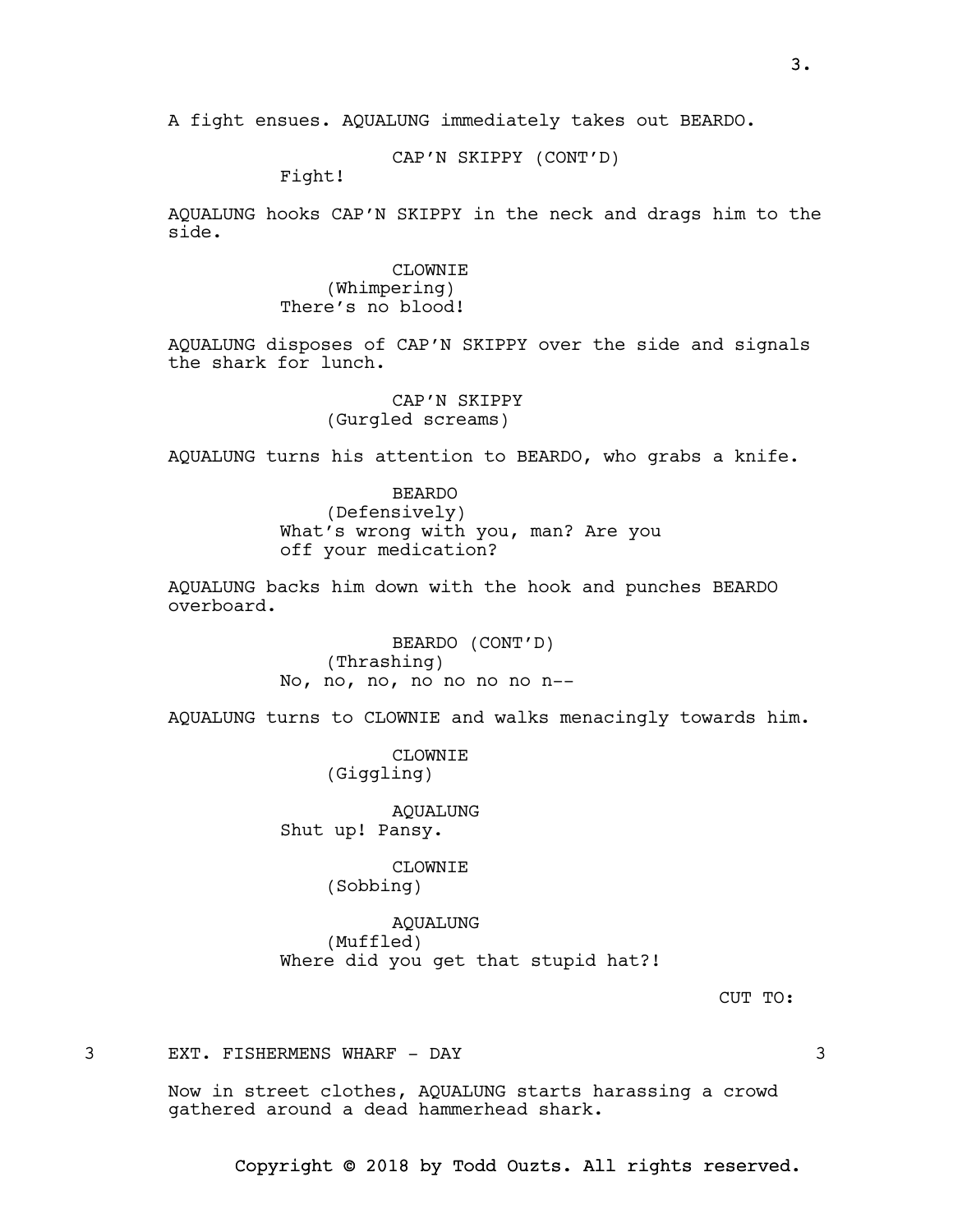CAP'N SKIPPY (CONT'D)

Fight!

AQUALUNG hooks CAP'N SKIPPY in the neck and drags him to the side.

> CLOWNIE (Whimpering) There's no blood!

AQUALUNG disposes of CAP'N SKIPPY over the side and signals the shark for lunch.

> CAP'N SKIPPY (Gurgled screams)

AQUALUNG turns his attention to BEARDO, who grabs a knife.

BEARDO (Defensively) What's wrong with you, man? Are you off your medication?

AQUALUNG backs him down with the hook and punches BEARDO overboard.

> BEARDO (CONT'D) (Thrashing) No, no, no, no no no no n--

AQUALUNG turns to CLOWNIE and walks menacingly towards him.

CLOWNIE (Giggling)

AQUALUNG Shut up! Pansy.

CLOWNIE

(Sobbing)

AQUALUNG (Muffled) Where did you get that stupid hat?!

CUT TO:

3 EXT. FISHERMENS WHARF - DAY 3

Now in street clothes, AQUALUNG starts harassing a crowd gathered around a dead hammerhead shark.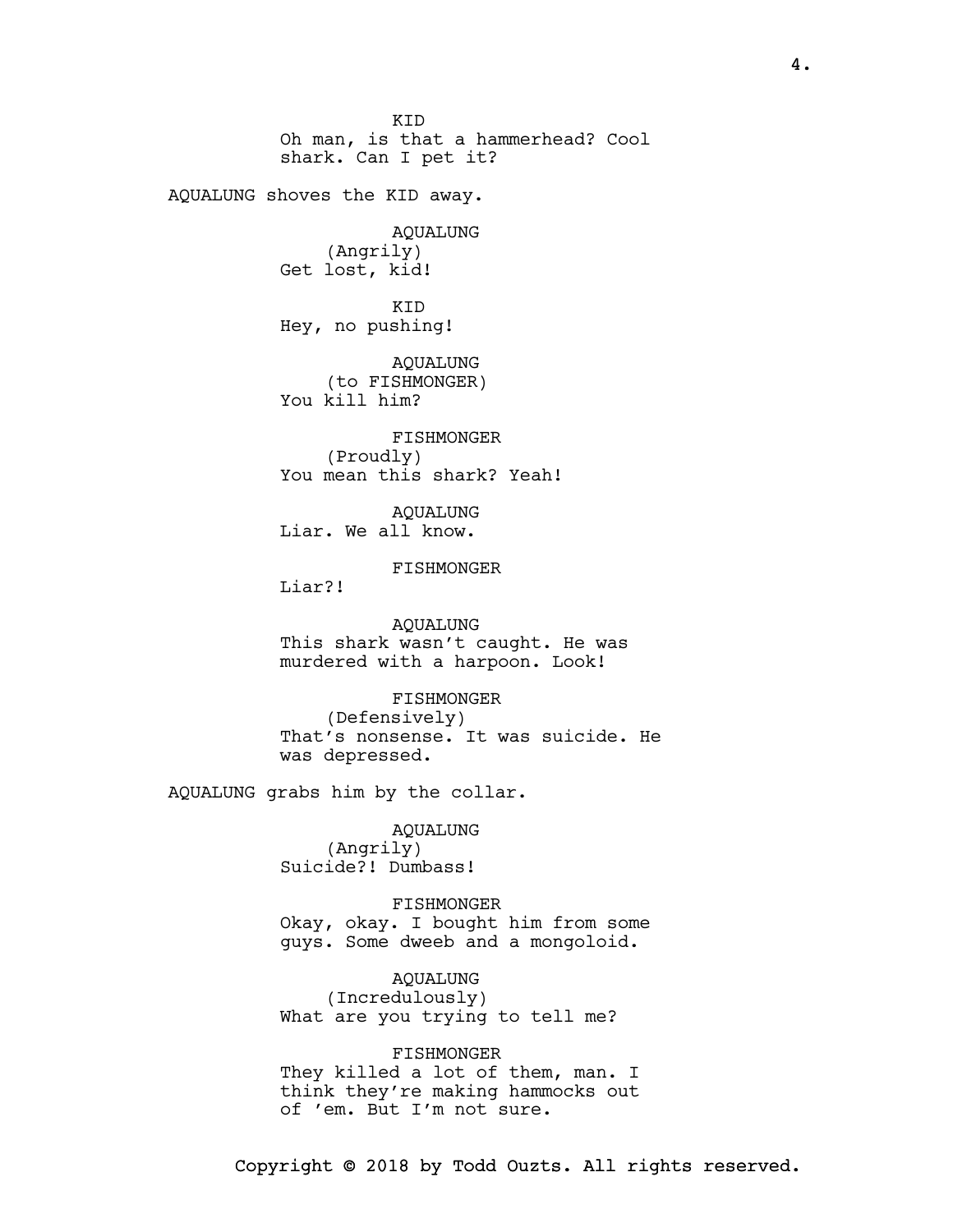KID Oh man, is that a hammerhead? Cool shark. Can I pet it? AQUALUNG shoves the KID away. AQUALUNG (Angrily) Get lost, kid! KID Hey, no pushing! AQUALUNG (to FISHMONGER) You kill him? FISHMONGER (Proudly) You mean this shark? Yeah! AQUALUNG Liar. We all know. FISHMONGER Liar?! AQUALUNG This shark wasn't caught. He was murdered with a harpoon. Look! FISHMONGER (Defensively) That's nonsense. It was suicide. He was depressed. AQUALUNG grabs him by the collar. AQUALUNG (Angrily) Suicide?! Dumbass! FISHMONGER Okay, okay. I bought him from some guys. Some dweeb and a mongoloid. AQUALUNG (Incredulously) What are you trying to tell me? FISHMONGER

They killed a lot of them, man. I think they're making hammocks out of 'em. But I'm not sure.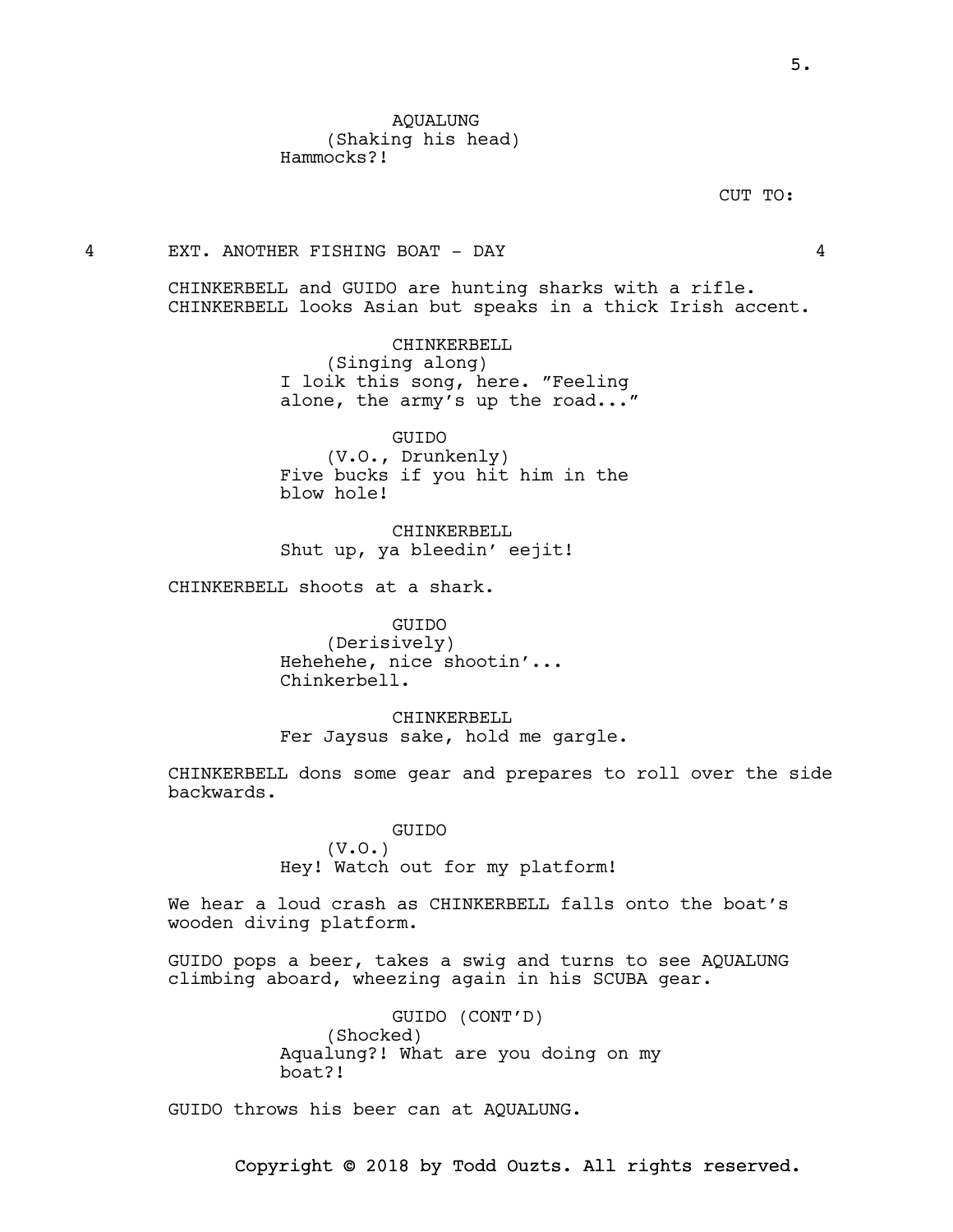CUT TO:

#### 4 EXT. ANOTHER FISHING BOAT - DAY 4

CHINKERBELL and GUIDO are hunting sharks with a rifle. CHINKERBELL looks Asian but speaks in a thick Irish accent.

> CHINKERBELL (Singing along) I loik this song, here. "Feeling alone, the army's up the road..."

GUIDO (V.O., Drunkenly) Five bucks if you hit him in the blow hole!

CHINKERBELL Shut up, ya bleedin' eejit!

CHINKERBELL shoots at a shark.

GUIDO (Derisively) Hehehehe, nice shootin'... Chinkerbell.

CHINKERBELL Fer Jaysus sake, hold me gargle.

CHINKERBELL dons some gear and prepares to roll over the side backwards.

> GUIDO (V.O.) Hey! Watch out for my platform!

We hear a loud crash as CHINKERBELL falls onto the boat's wooden diving platform.

GUIDO pops a beer, takes a swig and turns to see AQUALUNG climbing aboard, wheezing again in his SCUBA gear.

> GUIDO (CONT'D) (Shocked) Aqualung?! What are you doing on my boat?!

GUIDO throws his beer can at AQUALUNG.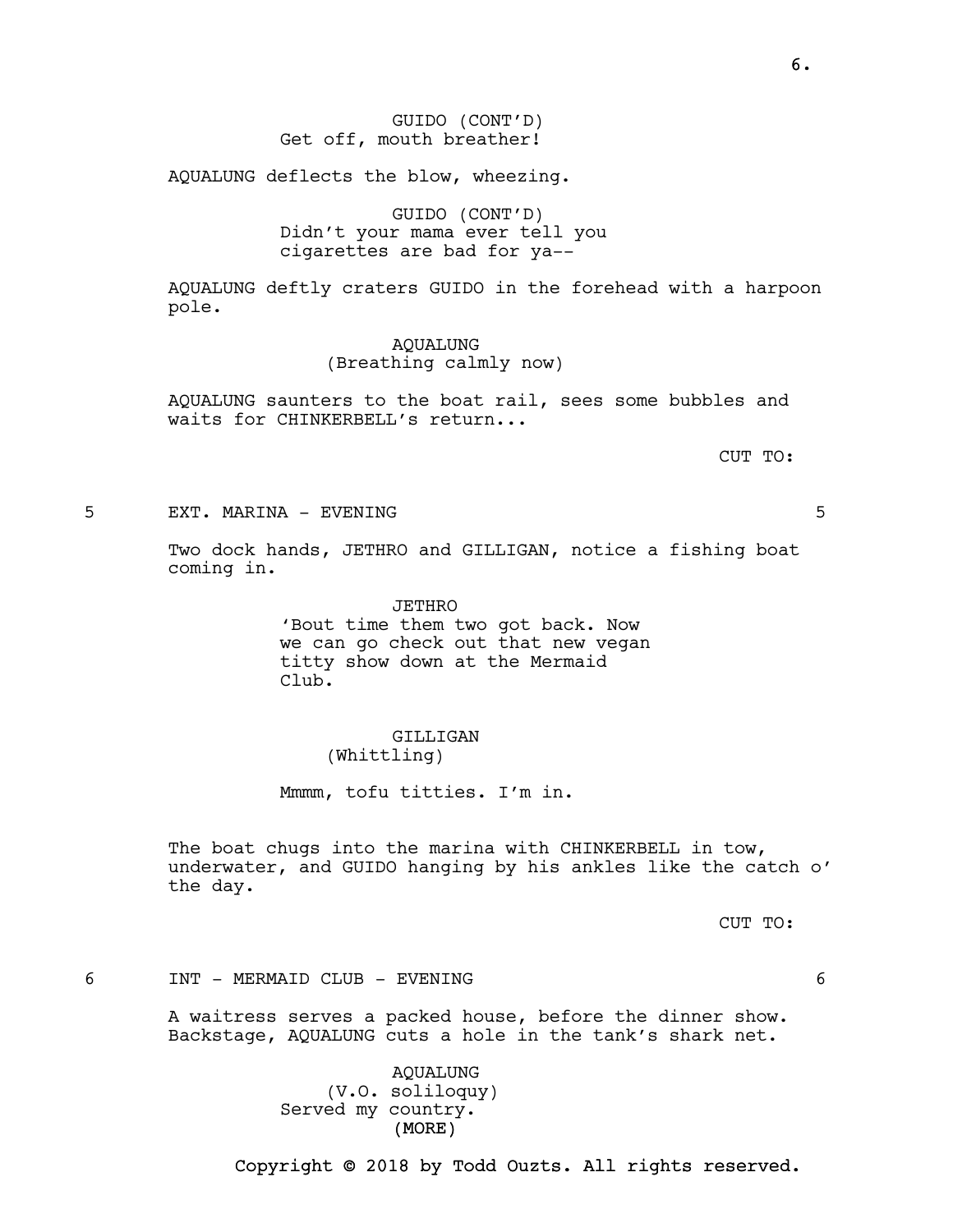AQUALUNG deflects the blow, wheezing.

GUIDO (CONT'D) Didn't your mama ever tell you cigarettes are bad for ya--

AQUALUNG deftly craters GUIDO in the forehead with a harpoon pole.

> AQUALUNG (Breathing calmly now)

AQUALUNG saunters to the boat rail, sees some bubbles and waits for CHINKERBELL's return...

CUT TO:

5 EXT. MARINA - EVENING 5

Two dock hands, JETHRO and GILLIGAN, notice a fishing boat coming in.

> JETHRO 'Bout time them two got back. Now we can go check out that new vegan titty show down at the Mermaid Club.

#### GILLIGAN (Whittling)

Mmmm, tofu titties. I'm in.

The boat chugs into the marina with CHINKERBELL in tow, underwater, and GUIDO hanging by his ankles like the catch o' the day.

CUT TO:

### 6 INT - MERMAID CLUB - EVENING 6

A waitress serves a packed house, before the dinner show. Backstage, AQUALUNG cuts a hole in the tank's shark net.

> (MORE) AQUALUNG (V.O. soliloquy) Served my country.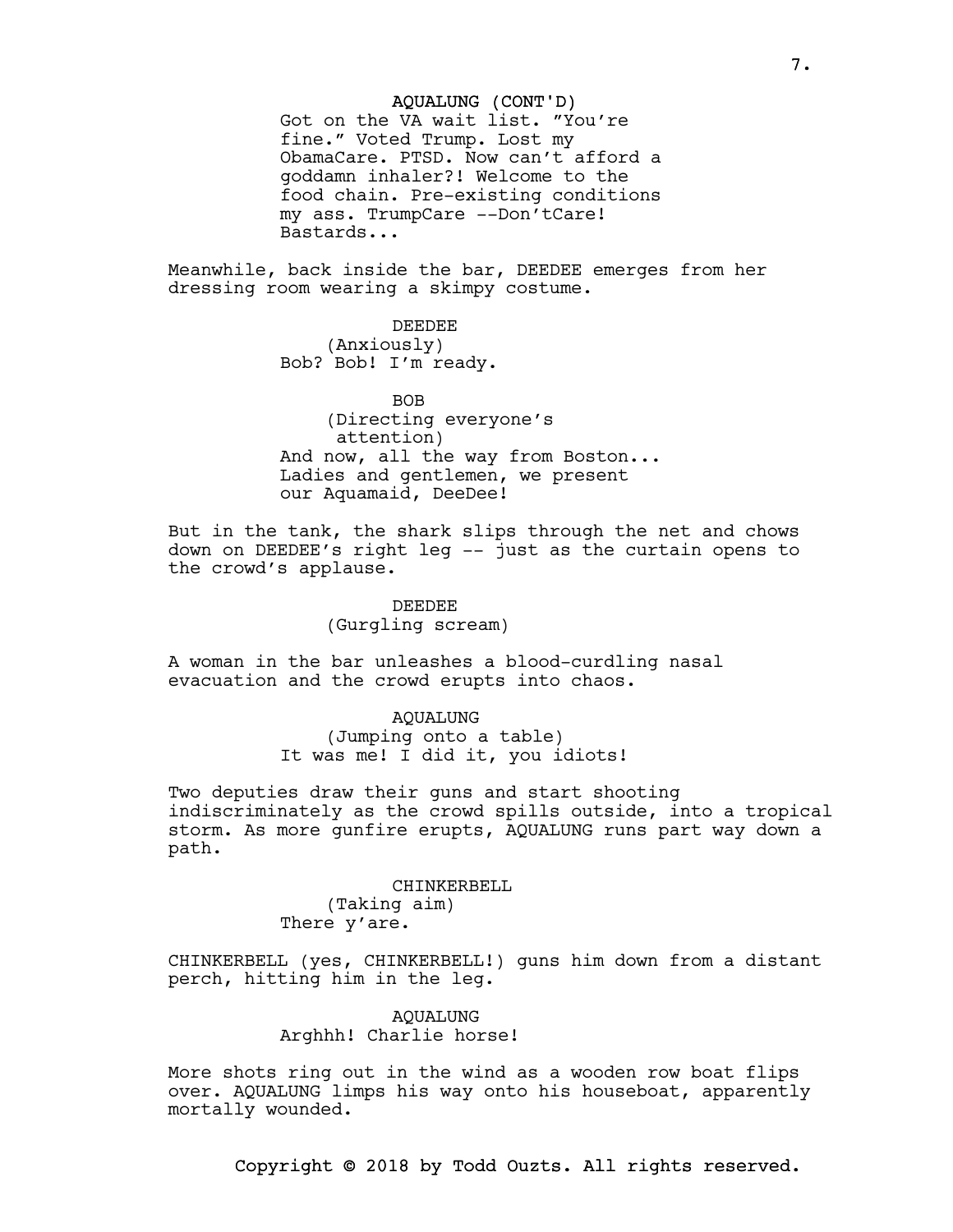### AQUALUNG (CONT'D)

Got on the VA wait list. "You're fine." Voted Trump. Lost my ObamaCare. PTSD. Now can't afford a goddamn inhaler?! Welcome to the food chain. Pre-existing conditions my ass. TrumpCare --Don'tCare! Bastards...

Meanwhile, back inside the bar, DEEDEE emerges from her dressing room wearing a skimpy costume.

> DEEDEE (Anxiously) Bob? Bob! I'm ready.

BOB (Directing everyone's attention) And now, all the way from Boston... Ladies and gentlemen, we present our Aquamaid, DeeDee!

But in the tank, the shark slips through the net and chows down on DEEDEE's right leg -- just as the curtain opens to the crowd's applause.

### DEEDEE (Gurgling scream)

A woman in the bar unleashes a blood-curdling nasal evacuation and the crowd erupts into chaos.

#### AQUALUNG

(Jumping onto a table) It was me! I did it, you idiots!

Two deputies draw their guns and start shooting indiscriminately as the crowd spills outside, into a tropical storm. As more gunfire erupts, AQUALUNG runs part way down a path.

### CHINKERBELL (Taking aim) There y'are.

CHINKERBELL (yes, CHINKERBELL!) guns him down from a distant perch, hitting him in the leg.

# AQUALUNG Arghhh! Charlie horse!

More shots ring out in the wind as a wooden row boat flips over. AQUALUNG limps his way onto his houseboat, apparently mortally wounded.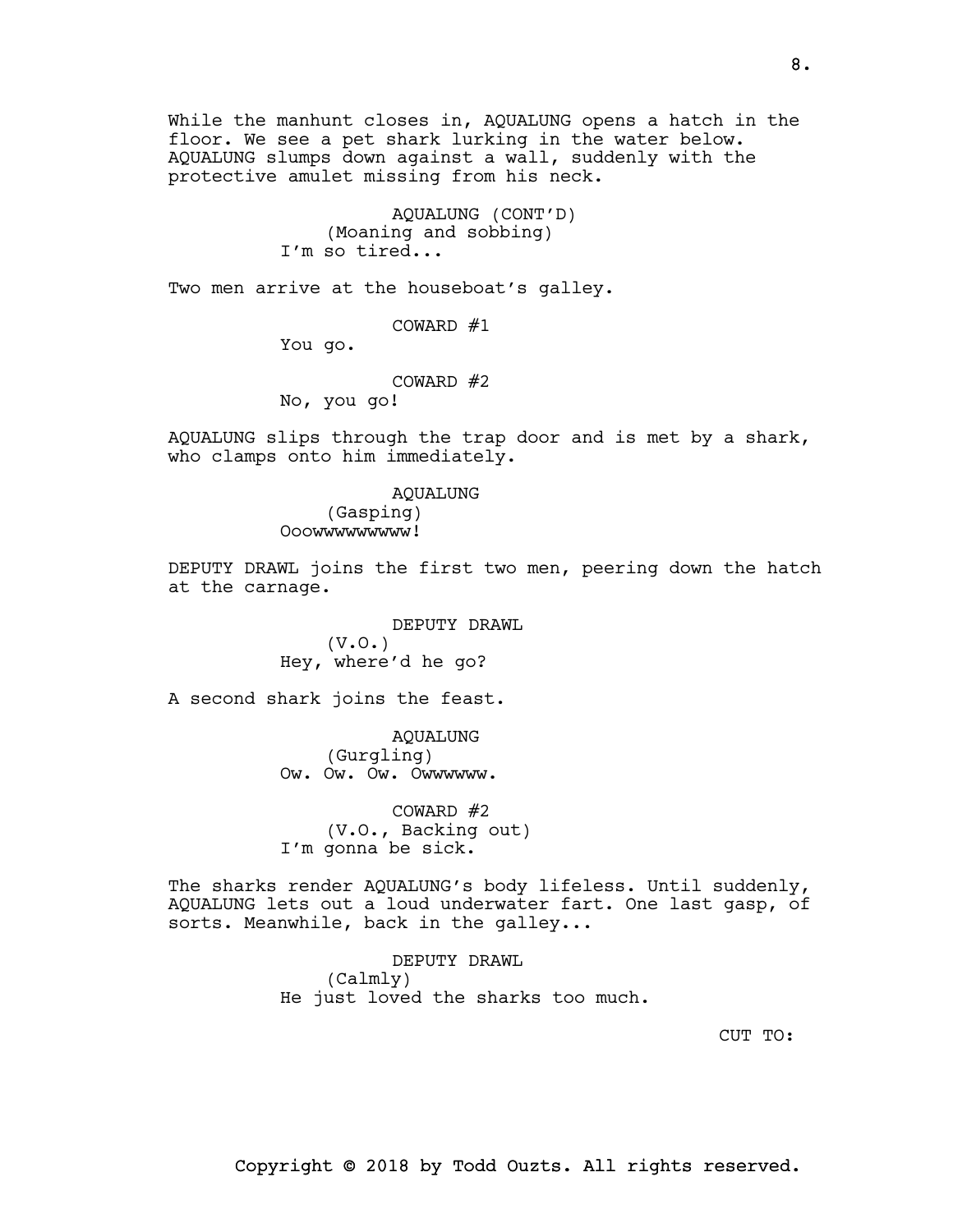While the manhunt closes in, AQUALUNG opens a hatch in the floor. We see a pet shark lurking in the water below. AQUALUNG slumps down against a wall, suddenly with the protective amulet missing from his neck.

> AQUALUNG (CONT'D) (Moaning and sobbing) I'm so tired...

Two men arrive at the houseboat's galley.

COWARD #1

You go.

COWARD #2

No, you go!

AQUALUNG slips through the trap door and is met by a shark, who clamps onto him immediately.

> AQUALUNG (Gasping) Ooowwwwwwwww!

DEPUTY DRAWL joins the first two men, peering down the hatch at the carnage.

> DEPUTY DRAWL (V.O.) Hey, where'd he go?

A second shark joins the feast.

AQUALUNG (Gurgling) Ow. Ow. Ow. Owwwwww.

COWARD #2 (V.O., Backing out) I'm gonna be sick.

The sharks render AQUALUNG's body lifeless. Until suddenly, AQUALUNG lets out a loud underwater fart. One last gasp, of sorts. Meanwhile, back in the galley...

> DEPUTY DRAWL (Calmly) He just loved the sharks too much.

> > CUT TO: